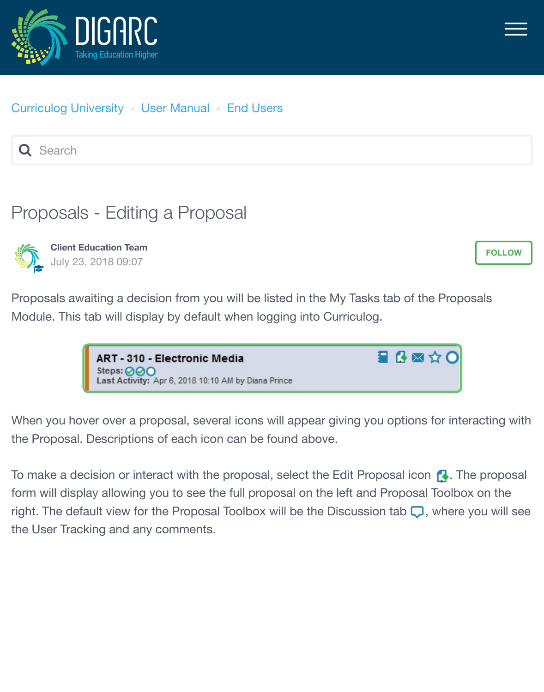



## [Curriculog University](https://curriculog.zendesk.com/hc/en-us) › [User Manual](https://curriculog.zendesk.com/hc/en-us/categories/115001220483-User-Manual) › [End Users](https://curriculog.zendesk.com/hc/en-us/sections/115001538686-End-Users)

Q Search

## Proposals - Editing a Proposal



**Client Education Team** July 23, 2018 09:07

**[FOLLOW](https://curriculog.zendesk.com/hc/en-us/articles/360007900452-Proposals-Editing-a-Proposal/subscription)**

Proposals awaiting a decision from you will be listed in the My Tasks tab of the Proposals Module. This tab will display by default when logging into Curriculog.



When you hover over a proposal, several icons will appear giving you options for interacting with the Proposal. Descriptions of each icon can be found above.

To make a decision or interact with the proposal, select the Edit Proposal icon  $\blacksquare$ . The proposal form will display allowing you to see the full proposal on the left and Proposal Toolbox on the right. The default view for the Proposal Toolbox will be the Discussion tab  $\Box$ , where you will see the User Tracking and any comments.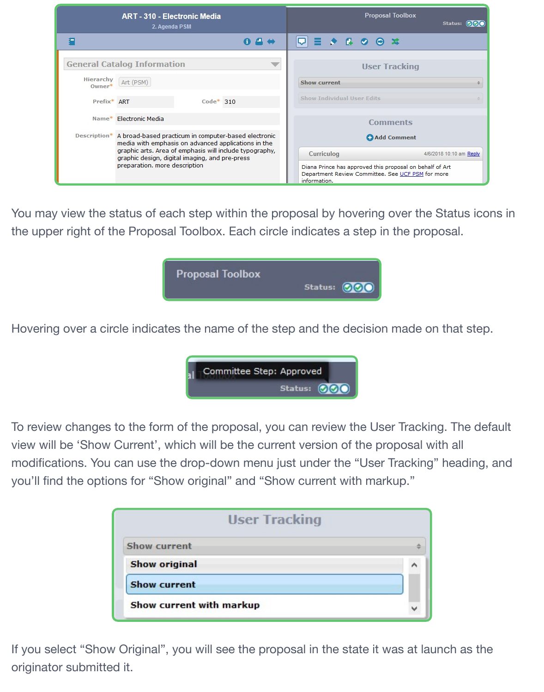| <b>ART - 310 - Electronic Media</b><br>2. Agenda PSM |                                                                                                                                                                                                                                                           | <b>Proposal Toolbox</b><br>Status: 000 |                                                                                                                               |                                                                                                     |                      |
|------------------------------------------------------|-----------------------------------------------------------------------------------------------------------------------------------------------------------------------------------------------------------------------------------------------------------|----------------------------------------|-------------------------------------------------------------------------------------------------------------------------------|-----------------------------------------------------------------------------------------------------|----------------------|
| F.                                                   |                                                                                                                                                                                                                                                           | 8 A W                                  |                                                                                                                               | $\equiv$ $\rightarrow$ $\stackrel{\frown}{\bullet}$ $\rightarrow$ $\stackrel{\frown}{\bullet}$<br>ᇚ |                      |
|                                                      | <b>General Catalog Information</b>                                                                                                                                                                                                                        |                                        |                                                                                                                               |                                                                                                     | <b>User Tracking</b> |
| Hierarchy<br>$Owner*$                                | Art (PSM)                                                                                                                                                                                                                                                 |                                        |                                                                                                                               | Show current                                                                                        |                      |
| Prefix* ART                                          |                                                                                                                                                                                                                                                           | $Code* 310$                            |                                                                                                                               | <b>Show Individual User Edits</b>                                                                   |                      |
| Name*                                                | Electronic Media                                                                                                                                                                                                                                          |                                        |                                                                                                                               |                                                                                                     | <b>Comments</b>      |
| Description*                                         | A broad-based practicum in computer-based electronic<br>media with emphasis on advanced applications in the<br>graphic arts. Area of emphasis will include typography,<br>graphic design, digital imaging, and pre-press<br>preparation. more description |                                        | Add Comment                                                                                                                   |                                                                                                     |                      |
|                                                      |                                                                                                                                                                                                                                                           |                                        | Curriculog                                                                                                                    | 4/6/2018 10:10 am Reply                                                                             |                      |
|                                                      |                                                                                                                                                                                                                                                           |                                        | Diana Prince has approved this proposal on behalf of Art<br>Department Review Committee. See UCF PSM for more<br>information. |                                                                                                     |                      |

You may view the status of each step within the proposal by hovering over the Status icons in the upper right of the Proposal Toolbox. Each circle indicates a step in the proposal.



Hovering over a circle indicates the name of the step and the decision made on that step.



To review changes to the form of the proposal, you can review the User Tracking. The default view will be 'Show Current', which will be the current version of the proposal with all modifications. You can use the drop-down menu just under the "User Tracking" heading, and you'll find the options for "Show original" and "Show current with markup."

| <b>User Tracking</b>     |  |
|--------------------------|--|
| <b>Show current</b>      |  |
| <b>Show original</b>     |  |
| <b>Show current</b>      |  |
| Show current with markup |  |

If you select "Show Original", you will see the proposal in the state it was at launch as the originator submitted it.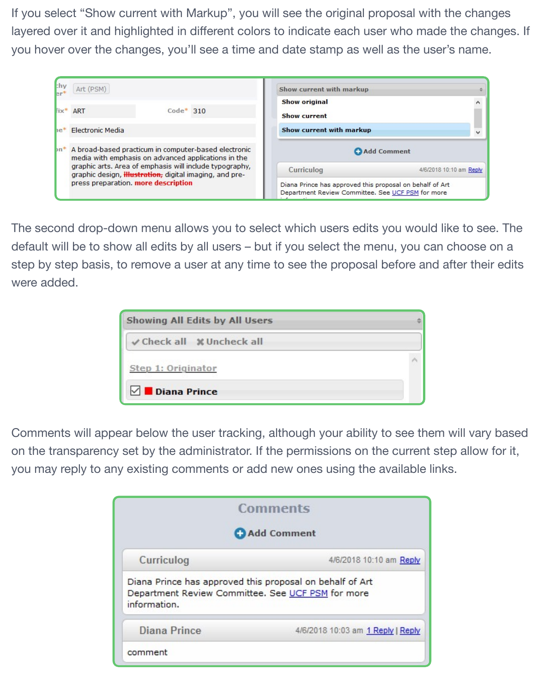If you select "Show current with Markup", you will see the original proposal with the changes layered over it and highlighted in different colors to indicate each user who made the changes. If you hover over the changes, you'll see a time and date stamp as well as the user's name.

| chy   | Art (PSM)                           |                                                                                                                            | Show current with markup                                                                                      |                         |
|-------|-------------------------------------|----------------------------------------------------------------------------------------------------------------------------|---------------------------------------------------------------------------------------------------------------|-------------------------|
|       | fix* ART                            | $Code* 310$                                                                                                                | <b>Show original</b><br><b>Show current</b>                                                                   |                         |
| $ie*$ | Electronic Media                    |                                                                                                                            | Show current with markup                                                                                      |                         |
|       |                                     | on* A broad-based practicum in computer-based electronic<br>media with emphasis on advanced applications in the            | Add Comment                                                                                                   |                         |
|       |                                     | graphic arts. Area of emphasis will include typography,<br>graphic design, <i>illustration</i> , digital imaging, and pre- | Curriculog                                                                                                    | 4/6/2018 10:10 am Reply |
|       | press preparation. more description |                                                                                                                            | Diana Prince has approved this proposal on behalf of Art<br>Department Review Committee. See UCF PSM for more |                         |

The second drop-down menu allows you to select which users edits you would like to see. The default will be to show all edits by all users – but if you select the menu, you can choose on a step by step basis, to remove a user at any time to see the proposal before and after their edits were added.

| Showing All Edits by All Users |  |
|--------------------------------|--|
| √ Check all % Uncheck all      |  |
| Step 1: Originator             |  |
| $\vee$ Diana Prince            |  |

Comments will appear below the user tracking, although your ability to see them will vary based on the transparency set by the administrator. If the permissions on the current step allow for it, you may reply to any existing comments or add new ones using the available links.

|                                       | <b>Comments</b>                                                                                               |
|---------------------------------------|---------------------------------------------------------------------------------------------------------------|
|                                       | Add Comment                                                                                                   |
| Curriculog<br>4/6/2018 10:10 am Reply |                                                                                                               |
| information.                          | Diana Prince has approved this proposal on behalf of Art<br>Department Review Committee. See UCF PSM for more |
| <b>Diana Prince</b>                   | 4/6/2018 10:03 am 1 Reply   Reply                                                                             |
| comment                               |                                                                                                               |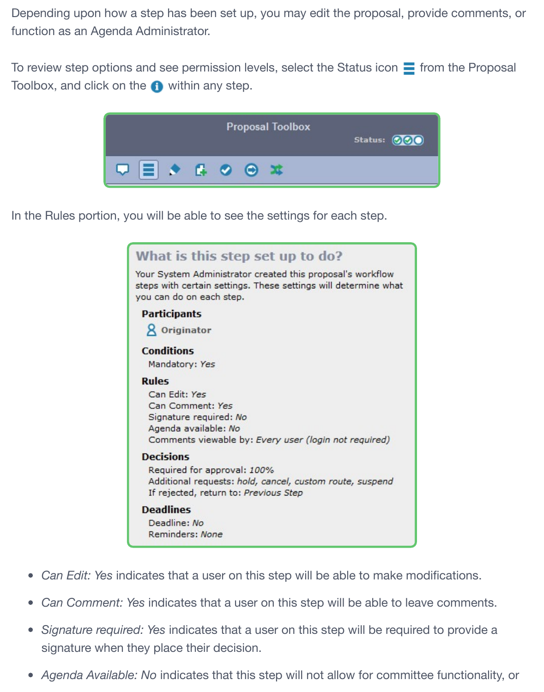Depending upon how a step has been set up, you may edit the proposal, provide comments, or function as an Agenda Administrator.

To review step options and see permission levels, select the Status icon  $\equiv$  from the Proposal Toolbox, and click on the  $\bigoplus$  within any step.



In the Rules portion, you will be able to see the settings for each step.

|                         | What is this step set up to do?                                                                                                                           |
|-------------------------|-----------------------------------------------------------------------------------------------------------------------------------------------------------|
|                         | Your System Administrator created this proposal's workflow<br>steps with certain settings. These settings will determine what<br>you can do on each step. |
| <b>Participants</b>     |                                                                                                                                                           |
| <b>&amp;</b> Originator |                                                                                                                                                           |
| <b>Conditions</b>       |                                                                                                                                                           |
| Mandatory: Yes          |                                                                                                                                                           |
| <b>Rules</b>            |                                                                                                                                                           |
| Can Edit: Yes           |                                                                                                                                                           |
|                         | Can Comment: Yes                                                                                                                                          |
|                         | Signature required: No                                                                                                                                    |
|                         | Agenda available: No                                                                                                                                      |
|                         | Comments viewable by: Every user (login not required)                                                                                                     |
| <b>Decisions</b>        |                                                                                                                                                           |
|                         | Required for approval: 100%                                                                                                                               |
|                         | Additional requests: hold, cancel, custom route, suspend                                                                                                  |
|                         | If rejected, return to: Previous Step                                                                                                                     |
| <b>Deadlines</b>        |                                                                                                                                                           |
| Deadline: No            |                                                                                                                                                           |
|                         | Reminders: None                                                                                                                                           |

- *Can Edit: Yes* indicates that a user on this step will be able to make modifications.
- *Can Comment: Yes* indicates that a user on this step will be able to leave comments.
- *Signature required: Yes* indicates that a user on this step will be required to provide a signature when they place their decision.
- *Agenda Available: No* indicates that this step will not allow for committee functionality, or